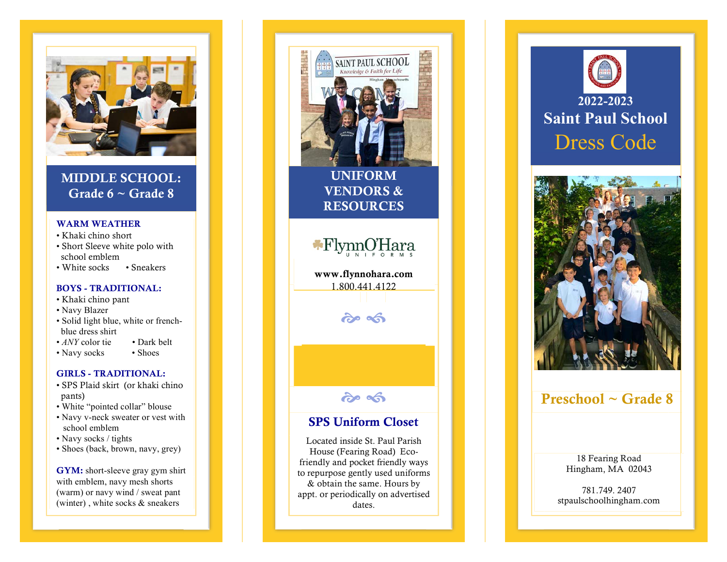

MIDDLE SCHOOL: Grade  $6 \sim$  Grade 8

### WARM WEATHER

- Khaki chino short
- Short Sleeve white polo with school emblem
- White socks Sneakers

### BOYS - TRADITIONAL:

- Khaki chino pant
- Navy Blazer
- Solid light blue, white or french blue dress shirt
- *ANY* color tie Dark belt
- Navy socks Shoes

### GIRLS - TRADITIONAL:

- SPS Plaid skirt (or khaki chino pants)
- White "pointed collar" blouse
- Navy v-neck sweater or vest with school emblem
- Navy socks / tights
- Shoes (back, brown, navy, grey)

GYM: short -sleeve gray gym shirt with emblem, n avy mesh shorts (warm) or navy wind / sweat pant (winter) , white socks & sneakers





## Preschool ~ Grade 8

18 Fearing Road Hingham, MA 02043

781.749. 2407 stpaulschoolhingham.com